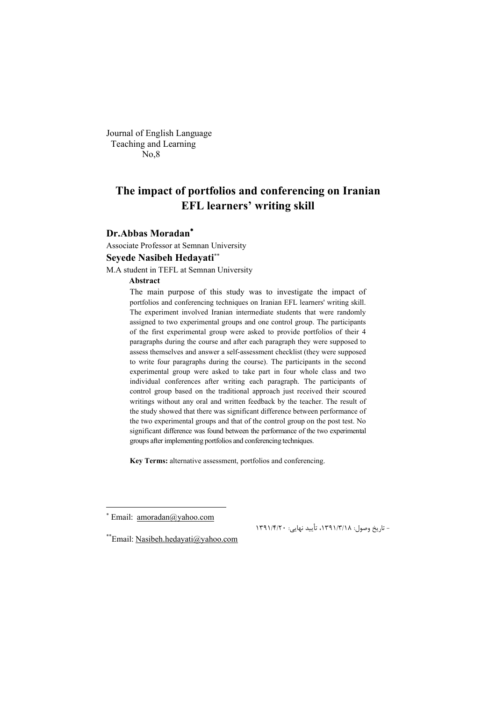Journal of English Language Teaching and Learning No,8

## **The impact of portfolios and conferencing on Iranian EFL learners' writing skill**

#### **Dr.Abbas Moradan**

Associate Professor at Semnan University

#### **Seyede Nasibeh Hedayati**

M.A student in TEFL at Semnan University

#### **Abstract**

The main purpose of this study was to investigate the impact of portfolios and conferencing techniques on Iranian EFL learners' writing skill. The experiment involved Iranian intermediate students that were randomly assigned to two experimental groups and one control group. The participants of the first experimental group were asked to provide portfolios of their 4 paragraphs during the course and after each paragraph they were supposed to assess themselves and answer a self-assessment checklist (they were supposed to write four paragraphs during the course). The participants in the second experimental group were asked to take part in four whole class and two individual conferences after writing each paragraph. The participants of control group based on the traditional approach just received their scoured writings without any oral and written feedback by the teacher. The result of the study showed that there was significant difference between performance of the two experimental groups and that of the control group on the post test. No significant difference was found between the performance of the two experimental groups after implementing portfolios and conferencing techniques.

**Key Terms:** alternative assessment, portfolios and conferencing.

 $\overline{a}$ 

– تاریخ وصول: ۱۳۹۱/۳/۱۸، تأیید نهایی: ۱۳۹۱/۴/۲۰

 $*$  Email: amoradan@yahoo.com

<sup>\*\*</sup> Email: Nasibeh.hedayati@yahoo.com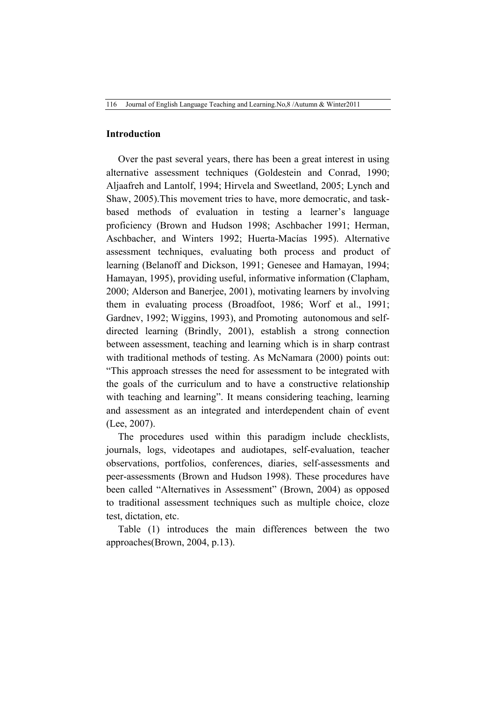#### **Introduction**

Over the past several years, there has been a great interest in using alternative assessment techniques (Goldestein and Conrad, 1990; Aljaafreh and Lantolf, 1994; Hirvela and Sweetland, 2005; Lynch and Shaw, 2005).This movement tries to have, more democratic, and taskbased methods of evaluation in testing a learner's language proficiency (Brown and Hudson 1998; Aschbacher 1991; Herman, Aschbacher, and Winters 1992; Huerta-Macías 1995). Alternative assessment techniques, evaluating both process and product of learning (Belanoff and Dickson, 1991; Genesee and Hamayan, 1994; Hamayan, 1995), providing useful, informative information (Clapham, 2000; Alderson and Banerjee, 2001), motivating learners by involving them in evaluating process (Broadfoot, 1986; Worf et al., 1991; Gardnev, 1992; Wiggins, 1993), and Promoting autonomous and selfdirected learning (Brindly, 2001), establish a strong connection between assessment, teaching and learning which is in sharp contrast with traditional methods of testing. As McNamara (2000) points out: "This approach stresses the need for assessment to be integrated with the goals of the curriculum and to have a constructive relationship with teaching and learning". It means considering teaching, learning and assessment as an integrated and interdependent chain of event (Lee, 2007).

The procedures used within this paradigm include checklists, journals, logs, videotapes and audiotapes, self-evaluation, teacher observations, portfolios, conferences, diaries, self-assessments and peer-assessments (Brown and Hudson 1998). These procedures have been called "Alternatives in Assessment" (Brown, 2004) as opposed to traditional assessment techniques such as multiple choice, cloze test, dictation, etc.

Table (1) introduces the main differences between the two approaches(Brown, 2004, p.13).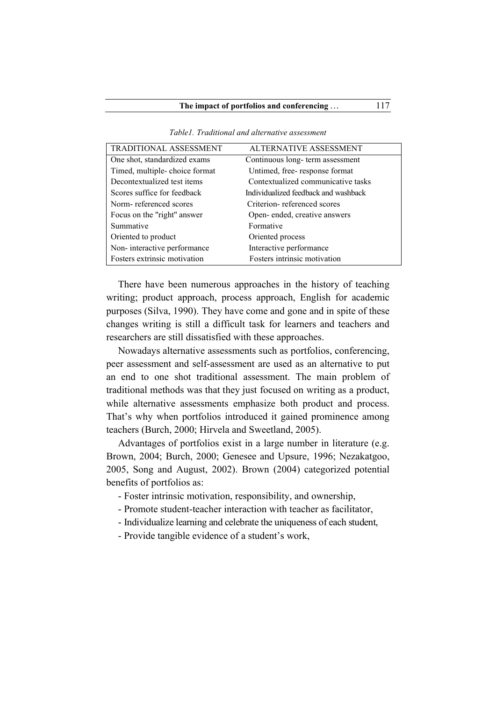| <b>TRADITIONAL ASSESSMENT</b> | <b>ALTERNATIVE ASSESSMENT</b>        |
|-------------------------------|--------------------------------------|
| One shot, standardized exams  | Continuous long-term assessment      |
| Timed, multiple-choice format | Untimed, free-response format        |
| Decontextualized test items   | Contextualized communicative tasks   |
| Scores suffice for feedback   | Individualized feedback and washback |
| Norm-referenced scores        | Criterion-referenced scores          |
| Focus on the "right" answer   | Open-ended, creative answers         |
| Summative                     | Formative                            |
| Oriented to product           | Oriented process                     |
| Non-interactive performance   | Interactive performance              |
| Fosters extrinsic motivation  | Fosters intrinsic motivation         |
|                               |                                      |

*Table1. Traditional and alternative assessment*

There have been numerous approaches in the history of teaching writing; product approach, process approach, English for academic purposes (Silva, 1990). They have come and gone and in spite of these changes writing is still a difficult task for learners and teachers and researchers are still dissatisfied with these approaches.

Nowadays alternative assessments such as portfolios, conferencing, peer assessment and self-assessment are used as an alternative to put an end to one shot traditional assessment. The main problem of traditional methods was that they just focused on writing as a product, while alternative assessments emphasize both product and process. That's why when portfolios introduced it gained prominence among teachers (Burch, 2000; Hirvela and Sweetland, 2005).

Advantages of portfolios exist in a large number in literature (e.g. Brown, 2004; Burch, 2000; Genesee and Upsure, 1996; Nezakatgoo, 2005, Song and August, 2002). Brown (2004) categorized potential benefits of portfolios as:

- Foster intrinsic motivation, responsibility, and ownership,
- Promote student-teacher interaction with teacher as facilitator,
- Individualize learning and celebrate the uniqueness of each student,
- Provide tangible evidence of a student's work,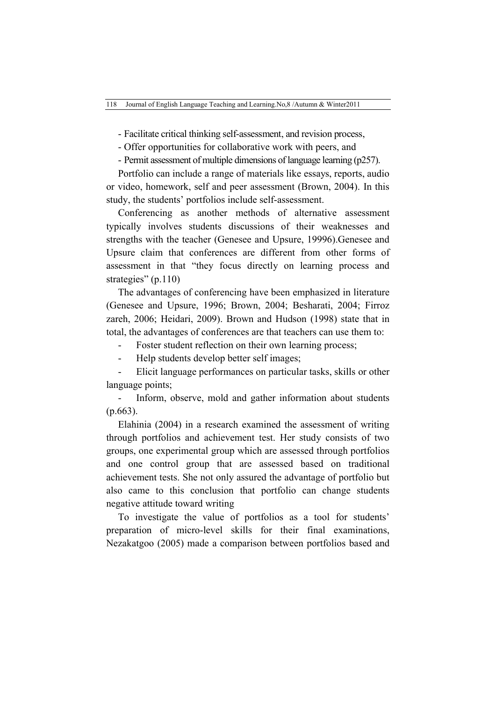- Facilitate critical thinking self-assessment, and revision process,

- Offer opportunities for collaborative work with peers, and

- Permit assessment of multiple dimensions of language learning (p257).

Portfolio can include a range of materials like essays, reports, audio or video, homework, self and peer assessment (Brown, 2004). In this study, the students' portfolios include self-assessment.

Conferencing as another methods of alternative assessment typically involves students discussions of their weaknesses and strengths with the teacher (Genesee and Upsure, 19996).Genesee and Upsure claim that conferences are different from other forms of assessment in that "they focus directly on learning process and strategies" (p.110)

The advantages of conferencing have been emphasized in literature (Genesee and Upsure, 1996; Brown, 2004; Besharati, 2004; Firroz zareh, 2006; Heidari, 2009). Brown and Hudson (1998) state that in total, the advantages of conferences are that teachers can use them to:

Foster student reflection on their own learning process;

Help students develop better self images;

- Elicit language performances on particular tasks, skills or other language points;

Inform, observe, mold and gather information about students (p.663).

Elahinia (2004) in a research examined the assessment of writing through portfolios and achievement test. Her study consists of two groups, one experimental group which are assessed through portfolios and one control group that are assessed based on traditional achievement tests. She not only assured the advantage of portfolio but also came to this conclusion that portfolio can change students negative attitude toward writing

To investigate the value of portfolios as a tool for students' preparation of micro-level skills for their final examinations, Nezakatgoo (2005) made a comparison between portfolios based and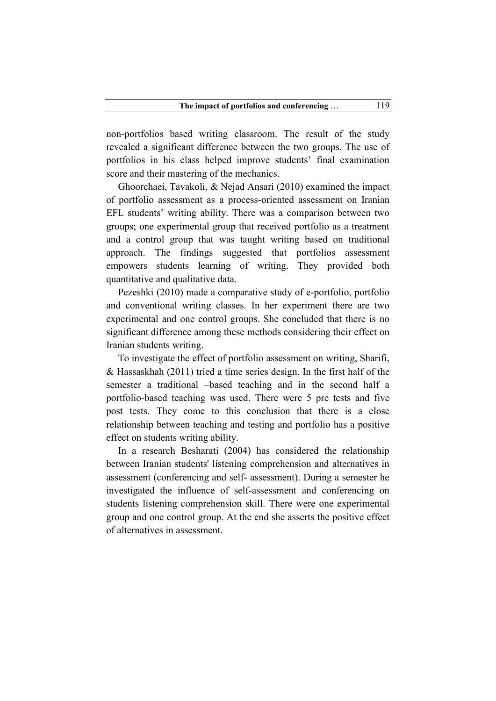non-portfolios based writing classroom. The result of the study revealed a significant difference between the two groups. The use of portfolios in his class helped improve students' final examination score and their mastering of the mechanics.

Ghoorchaei, Tavakoli, & Nejad Ansari (2010) examined the impact of portfolio assessment as a process-oriented assessment on Iranian EFL students' writing ability. There was a comparison between two groups; one experimental group that received portfolio as a treatment and a control group that was taught writing based on traditional approach. The findings suggested that portfolios assessment empowers students learning of writing. They provided both quantitative and qualitative data.

Pezeshki (2010) made a comparative study of e-portfolio, portfolio and conventional writing classes. In her experiment there are two experimental and one control groups. She concluded that there is no significant difference among these methods considering their effect on Iranian students writing.

To investigate the effect of portfolio assessment on writing, Sharifi, & Hassaskhah (2011) tried a time series design. In the first half of the semester a traditional –based teaching and in the second half a portfolio-based teaching was used. There were 5 pre tests and five post tests. They come to this conclusion that there is a close relationship between teaching and testing and portfolio has a positive effect on students writing ability.

In a research Besharati (2004) has considered the relationship between Iranian students' listening comprehension and alternatives in assessment (conferencing and self- assessment). During a semester he investigated the influence of self-assessment and conferencing on students listening comprehension skill. There were one experimental group and one control group. At the end she asserts the positive effect of alternatives in assessment.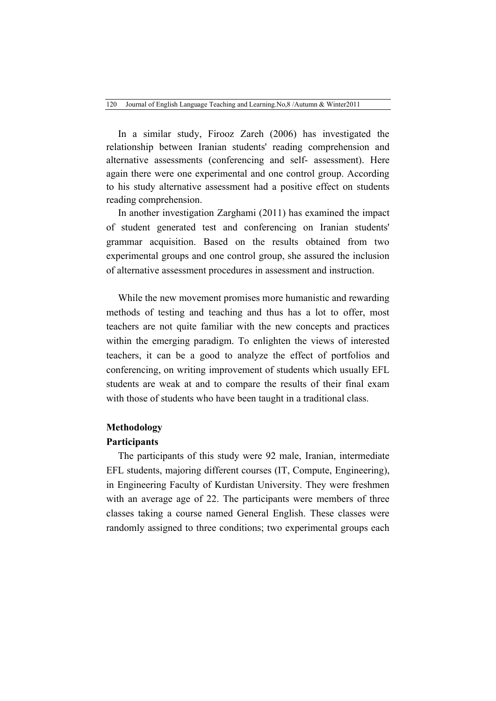In a similar study, Firooz Zareh (2006) has investigated the relationship between Iranian students' reading comprehension and alternative assessments (conferencing and self- assessment). Here again there were one experimental and one control group. According to his study alternative assessment had a positive effect on students reading comprehension.

In another investigation Zarghami (2011) has examined the impact of student generated test and conferencing on Iranian students' grammar acquisition. Based on the results obtained from two experimental groups and one control group, she assured the inclusion of alternative assessment procedures in assessment and instruction.

While the new movement promises more humanistic and rewarding methods of testing and teaching and thus has a lot to offer, most teachers are not quite familiar with the new concepts and practices within the emerging paradigm. To enlighten the views of interested teachers, it can be a good to analyze the effect of portfolios and conferencing, on writing improvement of students which usually EFL students are weak at and to compare the results of their final exam with those of students who have been taught in a traditional class.

#### **Methodology**

#### **Participants**

The participants of this study were 92 male, Iranian, intermediate EFL students, majoring different courses (IT, Compute, Engineering), in Engineering Faculty of Kurdistan University. They were freshmen with an average age of 22. The participants were members of three classes taking a course named General English. These classes were randomly assigned to three conditions; two experimental groups each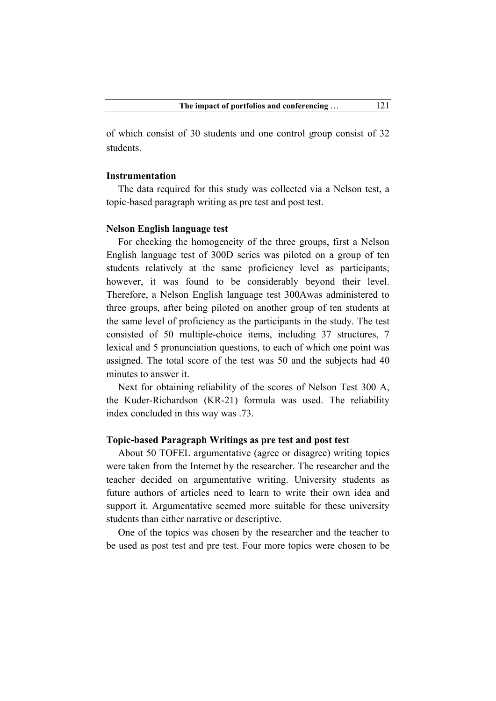of which consist of 30 students and one control group consist of 32 students.

#### **Instrumentation**

The data required for this study was collected via a Nelson test, a topic-based paragraph writing as pre test and post test.

#### **Nelson English language test**

For checking the homogeneity of the three groups, first a Nelson English language test of 300D series was piloted on a group of ten students relatively at the same proficiency level as participants; however, it was found to be considerably beyond their level. Therefore, a Nelson English language test 300Awas administered to three groups, after being piloted on another group of ten students at the same level of proficiency as the participants in the study. The test consisted of 50 multiple-choice items, including 37 structures, 7 lexical and 5 pronunciation questions, to each of which one point was assigned. The total score of the test was 50 and the subjects had 40 minutes to answer it.

Next for obtaining reliability of the scores of Nelson Test 300 A, the Kuder-Richardson (KR-21) formula was used. The reliability index concluded in this way was .73.

#### **Topic-based Paragraph Writings as pre test and post test**

About 50 TOFEL argumentative (agree or disagree) writing topics were taken from the Internet by the researcher. The researcher and the teacher decided on argumentative writing. University students as future authors of articles need to learn to write their own idea and support it. Argumentative seemed more suitable for these university students than either narrative or descriptive.

One of the topics was chosen by the researcher and the teacher to be used as post test and pre test. Four more topics were chosen to be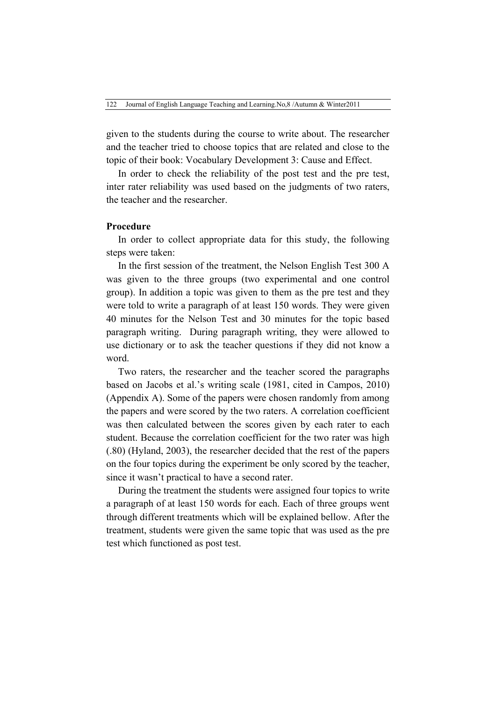given to the students during the course to write about. The researcher and the teacher tried to choose topics that are related and close to the topic of their book: Vocabulary Development 3: Cause and Effect.

In order to check the reliability of the post test and the pre test, inter rater reliability was used based on the judgments of two raters, the teacher and the researcher.

#### **Procedure**

In order to collect appropriate data for this study, the following steps were taken:

In the first session of the treatment, the Nelson English Test 300 A was given to the three groups (two experimental and one control group). In addition a topic was given to them as the pre test and they were told to write a paragraph of at least 150 words. They were given 40 minutes for the Nelson Test and 30 minutes for the topic based paragraph writing. During paragraph writing, they were allowed to use dictionary or to ask the teacher questions if they did not know a word.

Two raters, the researcher and the teacher scored the paragraphs based on Jacobs et al.'s writing scale (1981, cited in Campos, 2010) (Appendix A). Some of the papers were chosen randomly from among the papers and were scored by the two raters. A correlation coefficient was then calculated between the scores given by each rater to each student. Because the correlation coefficient for the two rater was high (.80) (Hyland, 2003), the researcher decided that the rest of the papers on the four topics during the experiment be only scored by the teacher, since it wasn't practical to have a second rater.

During the treatment the students were assigned four topics to write a paragraph of at least 150 words for each. Each of three groups went through different treatments which will be explained bellow. After the treatment, students were given the same topic that was used as the pre test which functioned as post test.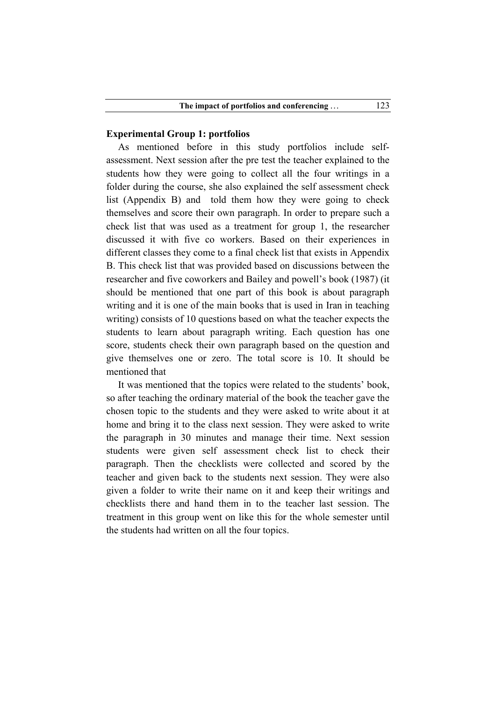#### **Experimental Group 1: portfolios**

As mentioned before in this study portfolios include selfassessment. Next session after the pre test the teacher explained to the students how they were going to collect all the four writings in a folder during the course, she also explained the self assessment check list (Appendix B) and told them how they were going to check themselves and score their own paragraph. In order to prepare such a check list that was used as a treatment for group 1, the researcher discussed it with five co workers. Based on their experiences in different classes they come to a final check list that exists in Appendix B. This check list that was provided based on discussions between the researcher and five coworkers and Bailey and powell's book (1987) (it should be mentioned that one part of this book is about paragraph writing and it is one of the main books that is used in Iran in teaching writing) consists of 10 questions based on what the teacher expects the students to learn about paragraph writing. Each question has one score, students check their own paragraph based on the question and give themselves one or zero. The total score is 10. It should be mentioned that

It was mentioned that the topics were related to the students' book, so after teaching the ordinary material of the book the teacher gave the chosen topic to the students and they were asked to write about it at home and bring it to the class next session. They were asked to write the paragraph in 30 minutes and manage their time. Next session students were given self assessment check list to check their paragraph. Then the checklists were collected and scored by the teacher and given back to the students next session. They were also given a folder to write their name on it and keep their writings and checklists there and hand them in to the teacher last session. The treatment in this group went on like this for the whole semester until the students had written on all the four topics.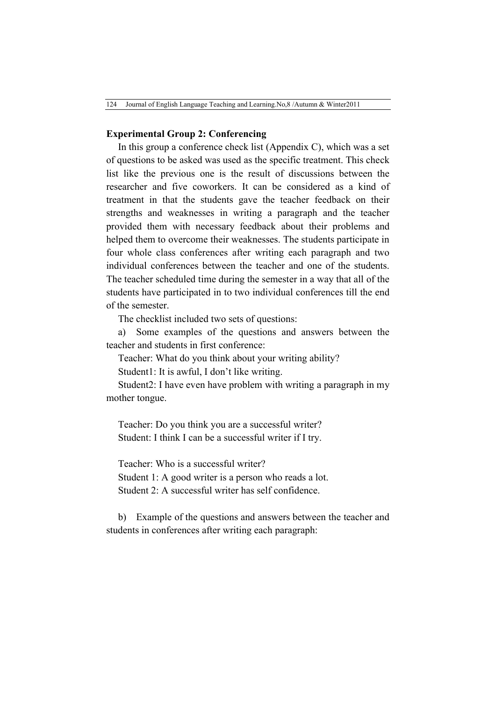#### **Experimental Group 2: Conferencing**

In this group a conference check list (Appendix C), which was a set of questions to be asked was used as the specific treatment. This check list like the previous one is the result of discussions between the researcher and five coworkers. It can be considered as a kind of treatment in that the students gave the teacher feedback on their strengths and weaknesses in writing a paragraph and the teacher provided them with necessary feedback about their problems and helped them to overcome their weaknesses. The students participate in four whole class conferences after writing each paragraph and two individual conferences between the teacher and one of the students. The teacher scheduled time during the semester in a way that all of the students have participated in to two individual conferences till the end of the semester.

The checklist included two sets of questions:

a) Some examples of the questions and answers between the teacher and students in first conference:

Teacher: What do you think about your writing ability?

Student1: It is awful, I don't like writing.

Student2: I have even have problem with writing a paragraph in my mother tongue.

Teacher: Do you think you are a successful writer? Student: I think I can be a successful writer if I try.

Teacher: Who is a successful writer? Student 1: A good writer is a person who reads a lot. Student 2: A successful writer has self confidence.

b) Example of the questions and answers between the teacher and students in conferences after writing each paragraph: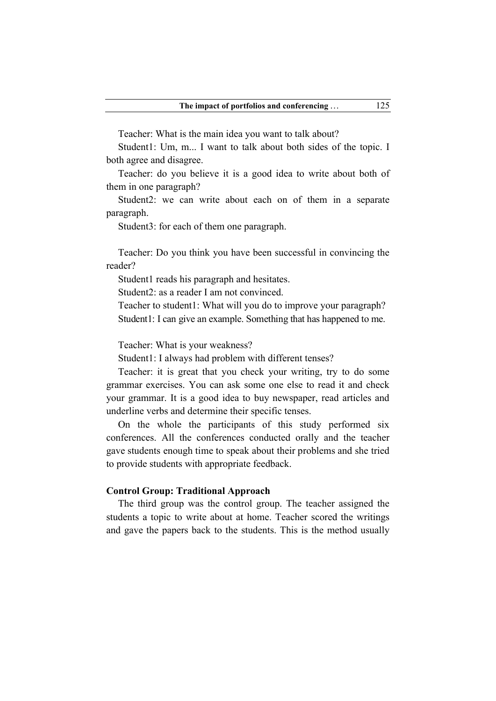Teacher: What is the main idea you want to talk about?

Student1: Um, m... I want to talk about both sides of the topic. I both agree and disagree.

Teacher: do you believe it is a good idea to write about both of them in one paragraph?

Student2: we can write about each on of them in a separate paragraph.

Student3: for each of them one paragraph.

Teacher: Do you think you have been successful in convincing the reader?

Student1 reads his paragraph and hesitates.

Student2: as a reader I am not convinced.

Teacher to student1: What will you do to improve your paragraph? Student1: I can give an example. Something that has happened to me.

Teacher: What is your weakness?

Student1: I always had problem with different tenses?

Teacher: it is great that you check your writing, try to do some grammar exercises. You can ask some one else to read it and check your grammar. It is a good idea to buy newspaper, read articles and underline verbs and determine their specific tenses.

On the whole the participants of this study performed six conferences. All the conferences conducted orally and the teacher gave students enough time to speak about their problems and she tried to provide students with appropriate feedback.

#### **Control Group: Traditional Approach**

The third group was the control group. The teacher assigned the students a topic to write about at home. Teacher scored the writings and gave the papers back to the students. This is the method usually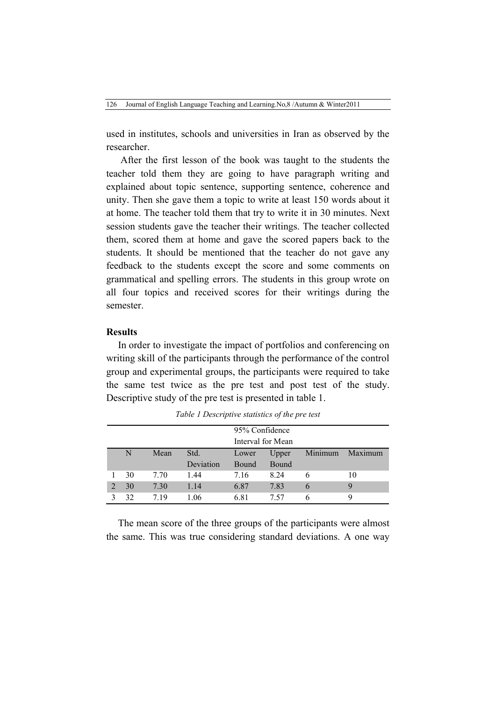used in institutes, schools and universities in Iran as observed by the researcher.

After the first lesson of the book was taught to the students the teacher told them they are going to have paragraph writing and explained about topic sentence, supporting sentence, coherence and unity. Then she gave them a topic to write at least 150 words about it at home. The teacher told them that try to write it in 30 minutes. Next session students gave the teacher their writings. The teacher collected them, scored them at home and gave the scored papers back to the students. It should be mentioned that the teacher do not gave any feedback to the students except the score and some comments on grammatical and spelling errors. The students in this group wrote on all four topics and received scores for their writings during the semester.

#### **Results**

In order to investigate the impact of portfolios and conferencing on writing skill of the participants through the performance of the control group and experimental groups, the participants were required to take the same test twice as the pre test and post test of the study. Descriptive study of the pre test is presented in table 1.

|                |    |      |           | 95% Confidence |                   |         |         |
|----------------|----|------|-----------|----------------|-------------------|---------|---------|
|                |    |      |           |                | Interval for Mean |         |         |
|                | N  | Mean | Std.      | Lower          | Upper             | Minimum | Maximum |
|                |    |      | Deviation | <b>Bound</b>   | Bound             |         |         |
|                | 30 | 7.70 | 1.44      | 7.16           | 8 2 4             | 6       | 10      |
| $\overline{2}$ | 30 | 7.30 | 1.14      | 6.87           | 7.83              | 6       |         |
|                | 32 | 719  | 1 06      | 6.81           | 7 57              | h       |         |

*Table 1 Descriptive statistics of the pre test*

The mean score of the three groups of the participants were almost the same. This was true considering standard deviations. A one way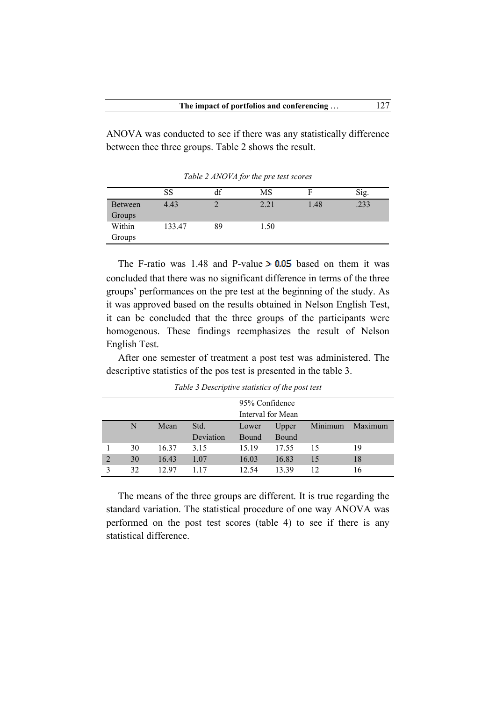ANOVA was conducted to see if there was any statistically difference between thee three groups. Table 2 shows the result.

|         | SS     |    | MS   |      | Sig. |
|---------|--------|----|------|------|------|
| Between | 4.43   |    | 2.21 | 1.48 | .233 |
| Groups  |        |    |      |      |      |
| Within  | 133.47 | 89 | 1.50 |      |      |
| Groups  |        |    |      |      |      |

*Table 2 ANOVA for the pre test scores*

The F-ratio was 1.48 and P-value  $> 0.05$  based on them it was concluded that there was no significant difference in terms of the three groups' performances on the pre test at the beginning of the study. As it was approved based on the results obtained in Nelson English Test, it can be concluded that the three groups of the participants were homogenous. These findings reemphasizes the result of Nelson English Test.

After one semester of treatment a post test was administered. The descriptive statistics of the pos test is presented in the table 3.

|                |    |       |                   | 95% Confidence | Interval for Mean |         |         |
|----------------|----|-------|-------------------|----------------|-------------------|---------|---------|
|                | N  | Mean  | Std.<br>Deviation | Lower<br>Bound | Upper<br>Bound    | Minimum | Maximum |
|                | 30 | 16.37 | 3.15              | 15.19          | 17.55             | 15      | 19      |
| $\overline{2}$ | 30 | 16.43 | 1.07              | 16.03          | 16.83             | 15      | 18      |
|                | 32 | 12.97 | 1 1 7             | 12.54          | 13 39             | 12      | 16      |

*Table 3 Descriptive statistics of the post test*

The means of the three groups are different. It is true regarding the standard variation. The statistical procedure of one way ANOVA was performed on the post test scores (table 4) to see if there is any statistical difference.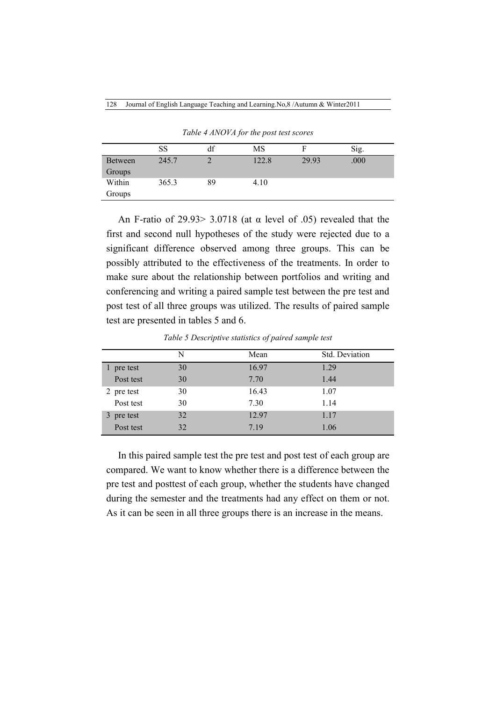|                | SS    | df | MS    | F     | Sig. |  |
|----------------|-------|----|-------|-------|------|--|
| <b>Between</b> | 245.7 | ◠  | 122.8 | 29.93 | .000 |  |
| Groups         |       |    |       |       |      |  |
| Within         | 365.3 | 89 | 4.10  |       |      |  |
| Groups         |       |    |       |       |      |  |

*Table 4 ANOVA for the post test scores*

An F-ratio of 29.93  $> 3.0718$  (at  $\alpha$  level of .05) revealed that the first and second null hypotheses of the study were rejected due to a significant difference observed among three groups. This can be possibly attributed to the effectiveness of the treatments. In order to make sure about the relationship between portfolios and writing and conferencing and writing a paired sample test between the pre test and post test of all three groups was utilized. The results of paired sample test are presented in tables 5 and 6.

*Table 5 Descriptive statistics of paired sample test*

|            | N  | Mean  | Std. Deviation |  |
|------------|----|-------|----------------|--|
| 1 pre test | 30 | 16.97 | 1.29           |  |
| Post test  | 30 | 7.70  | 1.44           |  |
| 2 pre test | 30 | 16.43 | 1.07           |  |
| Post test  | 30 | 7.30  | 1.14           |  |
| 3 pre test | 32 | 12.97 | 1.17           |  |
| Post test  | 32 | 7.19  | 1.06           |  |

In this paired sample test the pre test and post test of each group are compared. We want to know whether there is a difference between the pre test and posttest of each group, whether the students have changed during the semester and the treatments had any effect on them or not. As it can be seen in all three groups there is an increase in the means.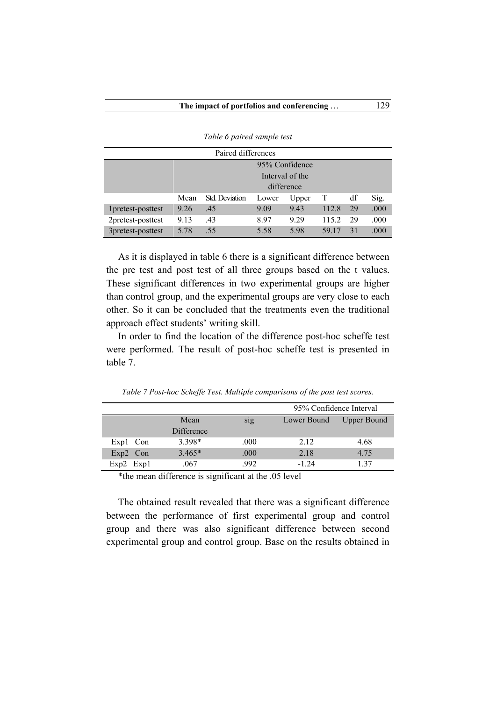| Paired differences |                |                       |       |                 |       |    |      |
|--------------------|----------------|-----------------------|-------|-----------------|-------|----|------|
|                    | 95% Confidence |                       |       |                 |       |    |      |
|                    |                |                       |       | Interval of the |       |    |      |
|                    |                |                       |       | difference      |       |    |      |
|                    | Mean           | <b>Std.</b> Deviation | Lower | Upper           | T     | df | Sig. |
| 1 pretest-posttest | 9.26           | .45                   | 9.09  | 9.43            | 112.8 | 29 | .000 |
| 2pretest-posttest  | 9.13           | .43                   | 8.97  | 9.29            | 115.2 | 29 | .000 |
| 3pretest-posttest  | 5.78           | .55                   | 5.58  | 5.98            | 59 17 | 31 | .000 |

*Table 6 paired sample test*

As it is displayed in table 6 there is a significant difference between the pre test and post test of all three groups based on the t values. These significant differences in two experimental groups are higher than control group, and the experimental groups are very close to each other. So it can be concluded that the treatments even the traditional approach effect students' writing skill.

In order to find the location of the difference post-hoc scheffe test were performed. The result of post-hoc scheffe test is presented in table 7.

|               |            |      | 95% Confidence Interval |                    |  |
|---------------|------------|------|-------------------------|--------------------|--|
|               | Mean       | sig  | Lower Bound             | <b>Upper Bound</b> |  |
|               | Difference |      |                         |                    |  |
| Exp1 Con      | 3.398*     | .000 | 2.12                    | 4.68               |  |
| Exp2 Con      | $3.465*$   | .000 | 2.18                    | 4.75               |  |
| $Exp2$ $Exp1$ | .067       | .992 | $-124$                  | 137                |  |

*Table 7 Post-hoc Scheffe Test. Multiple comparisons of the post test scores.*

\*the mean difference is significant at the .05 level

The obtained result revealed that there was a significant difference between the performance of first experimental group and control group and there was also significant difference between second experimental group and control group. Base on the results obtained in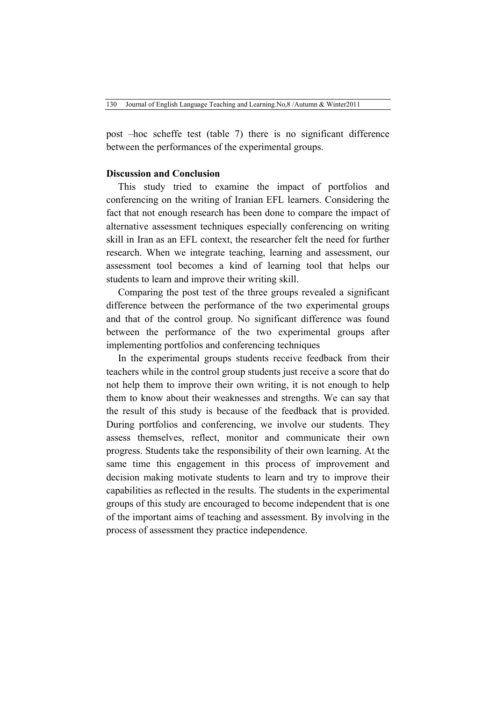post –hoc scheffe test (table 7) there is no significant difference between the performances of the experimental groups.

#### **Discussion and Conclusion**

This study tried to examine the impact of portfolios and conferencing on the writing of Iranian EFL learners. Considering the fact that not enough research has been done to compare the impact of alternative assessment techniques especially conferencing on writing skill in Iran as an EFL context, the researcher felt the need for further research. When we integrate teaching, learning and assessment, our assessment tool becomes a kind of learning tool that helps our students to learn and improve their writing skill.

Comparing the post test of the three groups revealed a significant difference between the performance of the two experimental groups and that of the control group. No significant difference was found between the performance of the two experimental groups after implementing portfolios and conferencing techniques

In the experimental groups students receive feedback from their teachers while in the control group students just receive a score that do not help them to improve their own writing, it is not enough to help them to know about their weaknesses and strengths. We can say that the result of this study is because of the feedback that is provided. During portfolios and conferencing, we involve our students. They assess themselves, reflect, monitor and communicate their own progress. Students take the responsibility of their own learning. At the same time this engagement in this process of improvement and decision making motivate students to learn and try to improve their capabilities as reflected in the results. The students in the experimental groups of this study are encouraged to become independent that is one of the important aims of teaching and assessment. By involving in the process of assessment they practice independence.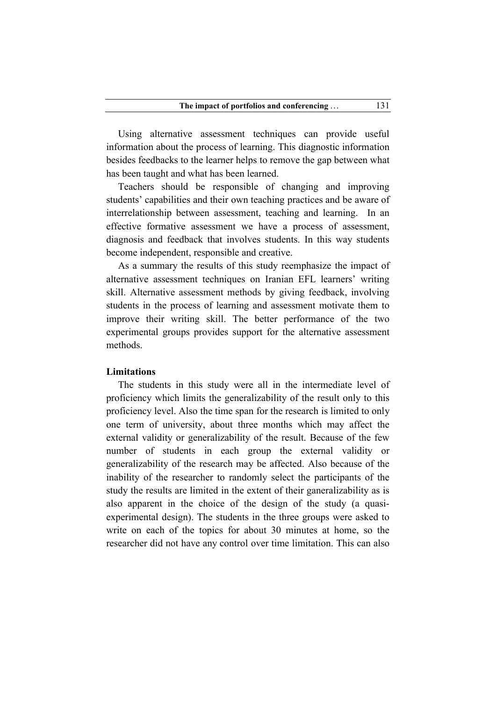Using alternative assessment techniques can provide useful information about the process of learning. This diagnostic information besides feedbacks to the learner helps to remove the gap between what has been taught and what has been learned.

Teachers should be responsible of changing and improving students' capabilities and their own teaching practices and be aware of interrelationship between assessment, teaching and learning. In an effective formative assessment we have a process of assessment, diagnosis and feedback that involves students. In this way students become independent, responsible and creative.

As a summary the results of this study reemphasize the impact of alternative assessment techniques on Iranian EFL learners' writing skill. Alternative assessment methods by giving feedback, involving students in the process of learning and assessment motivate them to improve their writing skill. The better performance of the two experimental groups provides support for the alternative assessment methods.

#### **Limitations**

The students in this study were all in the intermediate level of proficiency which limits the generalizability of the result only to this proficiency level. Also the time span for the research is limited to only one term of university, about three months which may affect the external validity or generalizability of the result. Because of the few number of students in each group the external validity or generalizability of the research may be affected. Also because of the inability of the researcher to randomly select the participants of the study the results are limited in the extent of their ganeralizability as is also apparent in the choice of the design of the study (a quasiexperimental design). The students in the three groups were asked to write on each of the topics for about 30 minutes at home, so the researcher did not have any control over time limitation. This can also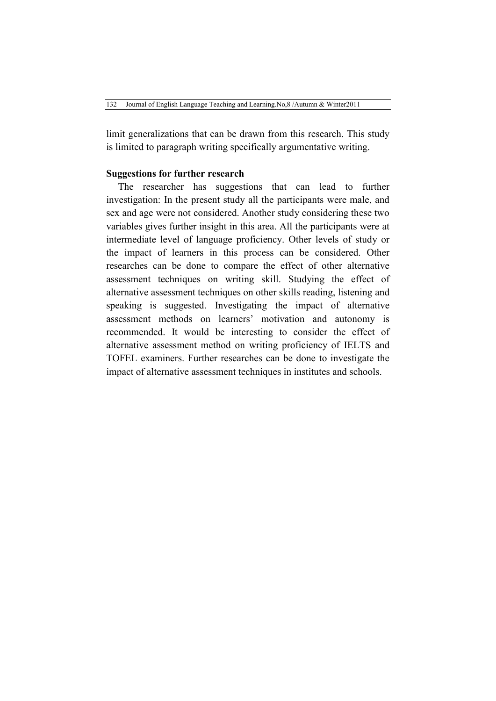limit generalizations that can be drawn from this research. This study is limited to paragraph writing specifically argumentative writing.

#### **Suggestions for further research**

The researcher has suggestions that can lead to further investigation: In the present study all the participants were male, and sex and age were not considered. Another study considering these two variables gives further insight in this area. All the participants were at intermediate level of language proficiency. Other levels of study or the impact of learners in this process can be considered. Other researches can be done to compare the effect of other alternative assessment techniques on writing skill. Studying the effect of alternative assessment techniques on other skills reading, listening and speaking is suggested. Investigating the impact of alternative assessment methods on learners' motivation and autonomy is recommended. It would be interesting to consider the effect of alternative assessment method on writing proficiency of IELTS and TOFEL examiners. Further researches can be done to investigate the impact of alternative assessment techniques in institutes and schools.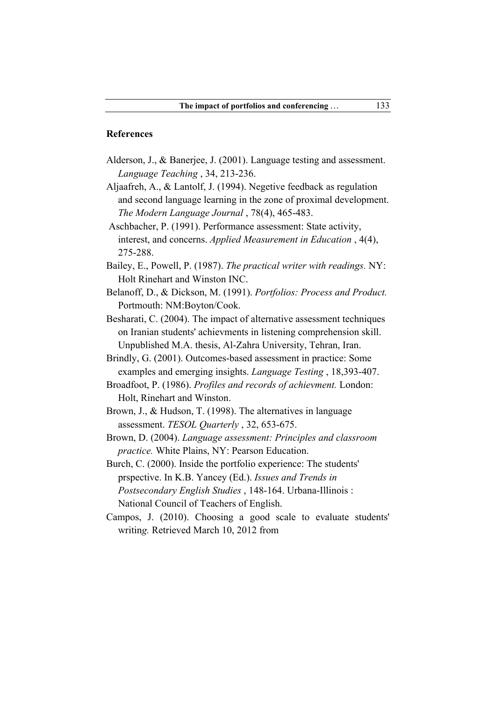#### **References**

- Alderson, J., & Banerjee, J. (2001). Language testing and assessment. *Language Teaching* , 34, 213-236.
- Aljaafreh, A., & Lantolf, J. (1994). Negetive feedback as regulation and second language learning in the zone of proximal development. *The Modern Language Journal* , 78(4), 465-483.
- Aschbacher, P. (1991). Performance assessment: State activity, interest, and concerns. *Applied Measurement in Education* , 4(4), 275-288.
- Bailey, E., Powell, P. (1987). *The practical writer with readings.* NY: Holt Rinehart and Winston INC.
- Belanoff, D., & Dickson, M. (1991). *Portfolios: Process and Product.* Portmouth: NM:Boyton/Cook.
- Besharati, C. (2004). The impact of alternative assessment techniques on Iranian students' achievments in listening comprehension skill. Unpublished M.A. thesis, Al-Zahra University, Tehran, Iran.
- Brindly, G. (2001). Outcomes-based assessment in practice: Some examples and emerging insights. *Language Testing* , 18,393-407.
- Broadfoot, P. (1986). *Profiles and records of achievment.* London: Holt, Rinehart and Winston.
- Brown, J., & Hudson, T. (1998). The alternatives in language assessment. *TESOL Quarterly* , 32, 653-675.
- Brown, D. (2004). *Language assessment: Principles and classroom practice.* White Plains, NY: Pearson Education.
- Burch, C. (2000). Inside the portfolio experience: The students' prspective. In K.B. Yancey (Ed.). *Issues and Trends in Postsecondary English Studies* , 148-164. Urbana-Illinois : National Council of Teachers of English.
- Campos, J. (2010). Choosing a good scale to evaluate students' writin*g.* Retrieved March 10, 2012 from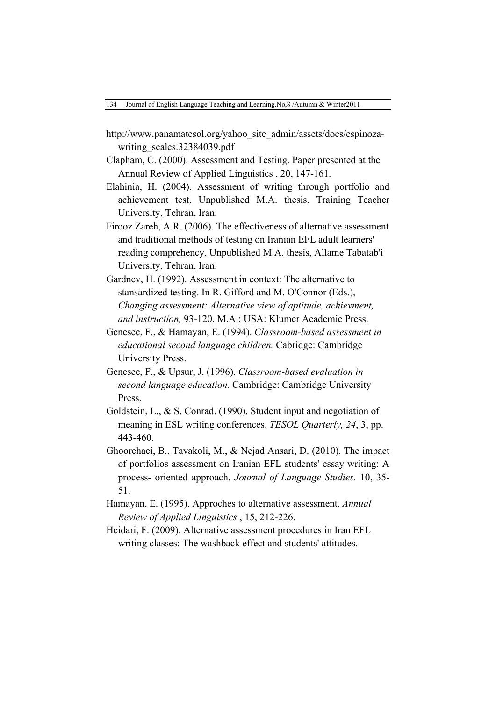- http://www.panamatesol.org/yahoo\_site\_admin/assets/docs/espinozawriting\_scales.32384039.pdf
- Clapham, C. (2000). Assessment and Testing. Paper presented at the Annual Review of Applied Linguistics , 20, 147-161.
- Elahinia, H. (2004). Assessment of writing through portfolio and achievement test. Unpublished M.A. thesis. Training Teacher University, Tehran, Iran.
- Firooz Zareh, A.R. (2006). The effectiveness of alternative assessment and traditional methods of testing on Iranian EFL adult learners' reading comprehency. Unpublished M.A. thesis, Allame Tabatab'i University, Tehran, Iran.
- Gardnev, H. (1992). Assessment in context: The alternative to stansardized testing. In R. Gifford and M. O'Connor (Eds.), *Changing assessment: Alternative view of aptitude, achievment, and instruction,* 93-120. M.A.: USA: Klumer Academic Press.
- Genesee, F., & Hamayan, E. (1994). *Classroom-based assessment in educational second language children.* Cabridge: Cambridge University Press.
- Genesee, F., & Upsur, J. (1996). *Classroom-based evaluation in second language education.* Cambridge: Cambridge University Press.
- Goldstein, L., & S. Conrad. (1990). Student input and negotiation of meaning in ESL writing conferences. *TESOL Quarterly, 24*, 3, pp. 443-460.
- Ghoorchaei, B., Tavakoli, M., & Nejad Ansari, D. (2010). The impact of portfolios assessment on Iranian EFL students' essay writing: A process- oriented approach. *Journal of Language Studies.* 10, 35- 51.
- Hamayan, E. (1995). Approches to alternative assessment. *Annual Review of Applied Linguistics* , 15, 212-226.
- Heidari, F. (2009). Alternative assessment procedures in Iran EFL writing classes: The washback effect and students' attitudes.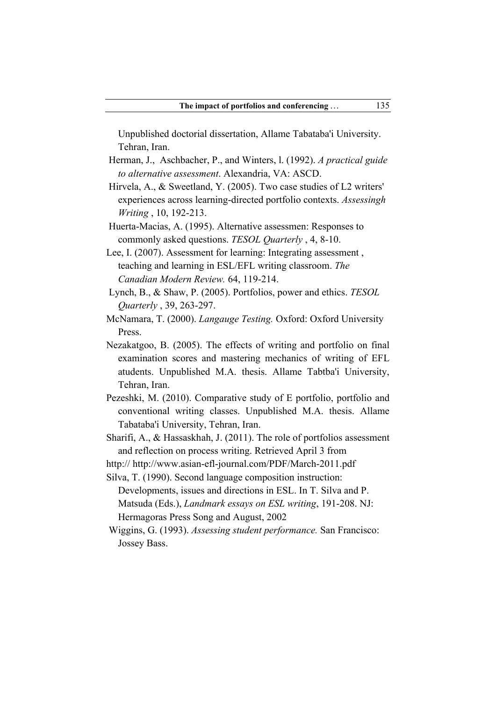Unpublished doctorial dissertation, Allame Tabataba'i University. Tehran, Iran.

- Herman, J., Aschbacher, P., and Winters, l. (1992). *A practical guide to alternative assessment*. Alexandria, VA: ASCD.
- Hirvela, A., & Sweetland, Y. (2005). Two case studies of L2 writers' experiences across learning-directed portfolio contexts. *Assessingh Writing* , 10, 192-213.
- Huerta-Macias, A. (1995). Alternative assessmen: Responses to commonly asked questions. *TESOL Quarterly* , 4, 8-10.
- Lee, I. (2007). Assessment for learning: Integrating assessment , teaching and learning in ESL/EFL writing classroom. *The Canadian Modern Review.* 64, 119-214.
- Lynch, B., & Shaw, P. (2005). Portfolios, power and ethics. *TESOL Quarterly* , 39, 263-297.
- McNamara, T. (2000). *Langauge Testing.* Oxford: Oxford University Press.
- Nezakatgoo, B. (2005). The effects of writing and portfolio on final examination scores and mastering mechanics of writing of EFL atudents. Unpublished M.A. thesis. Allame Tabtba'i University, Tehran, Iran.
- Pezeshki, M. (2010). Comparative study of E portfolio, portfolio and conventional writing classes. Unpublished M.A. thesis. Allame Tabataba'i University, Tehran, Iran.
- Sharifi, A., & Hassaskhah, J. (2011). The role of portfolios assessment and reflection on process writing. Retrieved April 3 from
- http:// http://www.asian-efl-journal.com/PDF/March-2011.pdf

Silva, T. (1990). Second language composition instruction:

- Developments, issues and directions in ESL. In T. Silva and P. Matsuda (Eds.), *Landmark essays on ESL writing*, 191-208. NJ: Hermagoras Press Song and August, 2002
- Wiggins, G. (1993). *Assessing student performance.* San Francisco: Jossey Bass.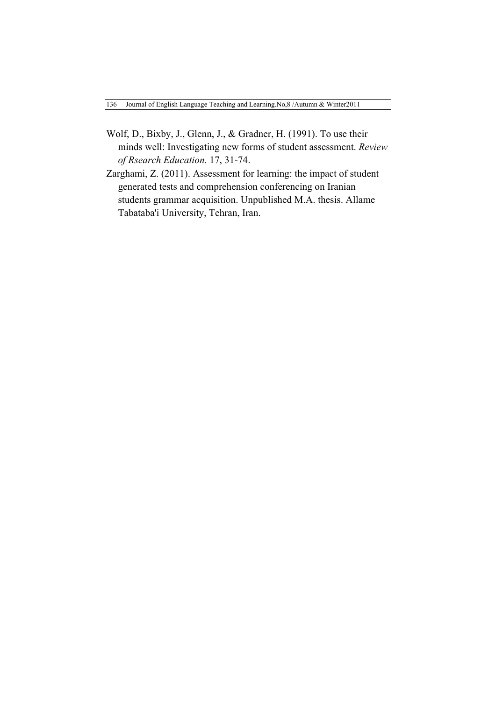- Wolf, D., Bixby, J., Glenn, J., & Gradner, H. (1991). To use their minds well: Investigating new forms of student assessment. *Review of Rsearch Education.* 17, 31-74.
- Zarghami, Z. (2011). Assessment for learning: the impact of student generated tests and comprehension conferencing on Iranian students grammar acquisition. Unpublished M.A. thesis. Allame Tabataba'i University, Tehran, Iran.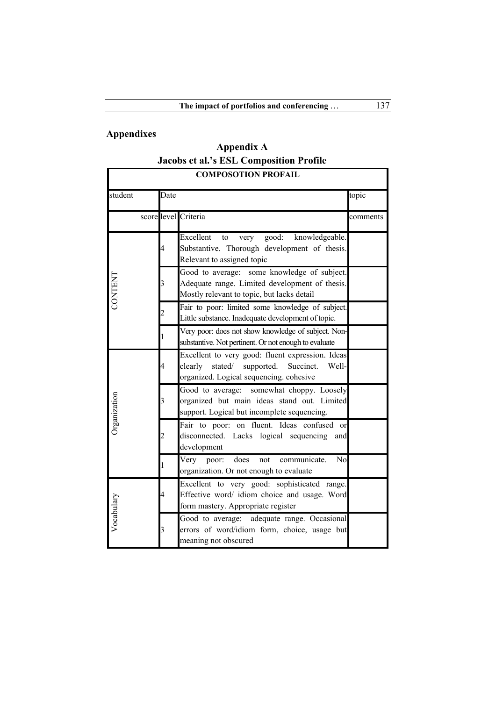# **Appendixes**

**Appendix A Jacobs et al.'s ESL Composition Profile**

| <b>COMPOSOTION PROFAIL</b> |                |                                                                                                                                                       |          |  |
|----------------------------|----------------|-------------------------------------------------------------------------------------------------------------------------------------------------------|----------|--|
| student                    | Date           |                                                                                                                                                       | topic    |  |
|                            |                | score level Criteria                                                                                                                                  | comments |  |
|                            | 4              | Excellent<br>good:<br>knowledgeable.<br>to<br>very<br>Substantive. Thorough development of thesis.<br>Relevant to assigned topic                      |          |  |
| <b>CONTENT</b>             | 3              | Good to average: some knowledge of subject.<br>Adequate range. Limited development of thesis.<br>Mostly relevant to topic, but lacks detail           |          |  |
|                            | $\overline{c}$ | Fair to poor: limited some knowledge of subject.<br>Little substance. Inadequate development of topic.                                                |          |  |
|                            | 1              | Very poor: does not show knowledge of subject. Non-<br>substantive. Not pertinent. Or not enough to evaluate                                          |          |  |
|                            | 4              | Excellent to very good: fluent expression. Ideas<br>clearly<br>stated/<br>supported.<br>Succinct.<br>Well-<br>organized. Logical sequencing. cohesive |          |  |
| Organization               | 3              | Good to average:<br>somewhat choppy. Loosely<br>organized but main ideas stand out. Limited<br>support. Logical but incomplete sequencing.            |          |  |
|                            | 2              | Fair to poor: on fluent. Ideas confused or<br>disconnected. Lacks logical<br>sequencing<br>and<br>development                                         |          |  |
|                            | 1              | does<br>N <sub>0</sub><br>Very<br>poor:<br>not<br>communicate.<br>organization. Or not enough to evaluate                                             |          |  |
| Vocabulary                 | 4              | Excellent to very good: sophisticated range.<br>Effective word/ idiom choice and usage. Word<br>form mastery. Appropriate register                    |          |  |
|                            | 3              | Good to average: adequate range. Occasional<br>errors of word/idiom form, choice, usage but<br>meaning not obscured                                   |          |  |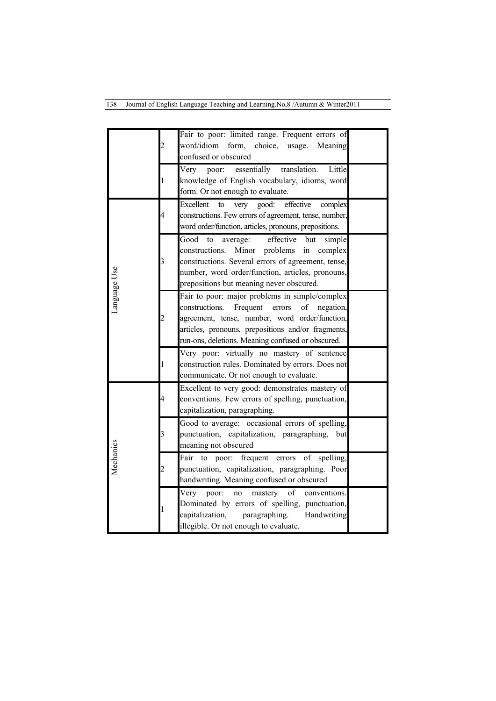138 Journal of English Language Teaching and Learning.No,8 /Autumn & Winter2011

|              |   | Fair to poor: limited range. Frequent errors of                                              |  |
|--------------|---|----------------------------------------------------------------------------------------------|--|
|              | 2 | word/idiom<br>form,<br>choice,<br>usage.<br>Meaning                                          |  |
|              |   | confused or obscured                                                                         |  |
|              |   | essentially<br>translation.<br>Very<br>Little<br>poor:                                       |  |
|              | 1 | knowledge of English vocabulary, idioms, word                                                |  |
|              |   | form. Or not enough to evaluate.                                                             |  |
|              |   | Excellent<br>effective<br>to<br>good:<br>complex<br>very                                     |  |
|              | 4 | constructions. Few errors of agreement, tense, number,                                       |  |
|              |   | word order/function, articles, pronouns, prepositions.                                       |  |
|              |   | effective<br>Good<br>to<br>average:<br>but<br>simple                                         |  |
|              |   | constructions.<br>Minor<br>problems<br>in<br>complex                                         |  |
|              | 3 | constructions. Several errors of agreement, tense,                                           |  |
|              |   | number, word order/function, articles, pronouns,                                             |  |
| Language Use |   | prepositions but meaning never obscured.                                                     |  |
|              |   | Fair to poor: major problems in simple/complex                                               |  |
|              |   | constructions.<br>Frequent<br>errors<br>of<br>negation,                                      |  |
|              | 2 | agreement, tense, number, word order/function,                                               |  |
|              |   | articles, pronouns, prepositions and/or fragments,                                           |  |
|              |   | run-ons, deletions. Meaning confused or obscured.                                            |  |
|              |   | Very poor: virtually no mastery of sentence                                                  |  |
|              | 1 | construction rules. Dominated by errors. Does not<br>communicate. Or not enough to evaluate. |  |
|              |   | Excellent to very good: demonstrates mastery of                                              |  |
|              | 4 | conventions. Few errors of spelling, punctuation,                                            |  |
|              |   | capitalization, paragraphing.                                                                |  |
|              |   | Good to average: occasional errors of spelling,                                              |  |
|              | 3 | punctuation, capitalization, paragraphing,<br>but                                            |  |
|              |   | meaning not obscured                                                                         |  |
| Mechanics    |   | Fair<br>frequent errors<br>spelling,<br>to<br>poor:<br>of                                    |  |
|              |   | punctuation, capitalization, paragraphing. Poor                                              |  |
|              |   | handwriting. Meaning confused or obscured                                                    |  |
|              |   | of<br>Very<br>mastery<br>conventions.<br>poor:<br>no                                         |  |
|              |   | Dominated by errors of spelling, punctuation,                                                |  |
|              |   | capitalization,<br>paragraphing.<br>Handwriting                                              |  |
|              |   | illegible. Or not enough to evaluate.                                                        |  |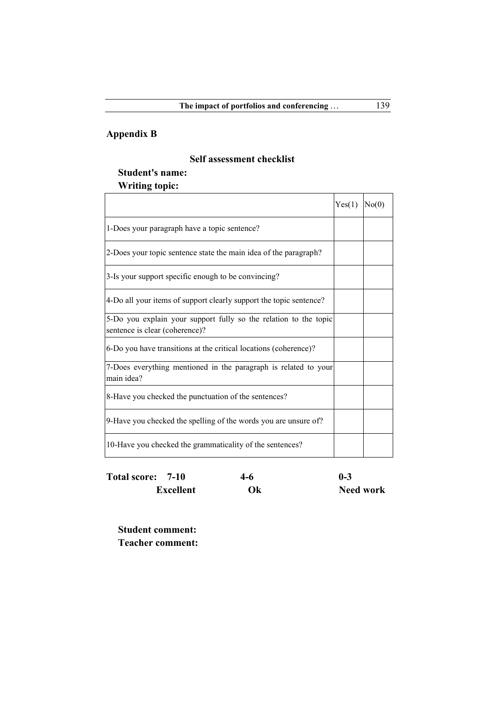## **Appendix B**

 $\mathsf{r}$ 

### **Self assessment checklist**

# **Student's name:**

## **Writing topic:**

|                                                                                                    | Yes(1) | No(0) |
|----------------------------------------------------------------------------------------------------|--------|-------|
| 1-Does your paragraph have a topic sentence?                                                       |        |       |
| 2-Does your topic sentence state the main idea of the paragraph?                                   |        |       |
| 3-Is your support specific enough to be convincing?                                                |        |       |
| 4-Do all your items of support clearly support the topic sentence?                                 |        |       |
| 5-Do you explain your support fully so the relation to the topic<br>sentence is clear (coherence)? |        |       |
| 6-Do you have transitions at the critical locations (coherence)?                                   |        |       |
| 7-Does everything mentioned in the paragraph is related to your<br>main idea?                      |        |       |
| 8-Have you checked the punctuation of the sentences?                                               |        |       |
| 9-Have you checked the spelling of the words you are unsure of?                                    |        |       |
| 10-Have you checked the grammaticality of the sentences?                                           |        |       |

| Total score: 7-10 | 4-6 | $0 - 3$          |
|-------------------|-----|------------------|
| <b>Excellent</b>  | Ok  | <b>Need work</b> |

**Student comment: Teacher comment:**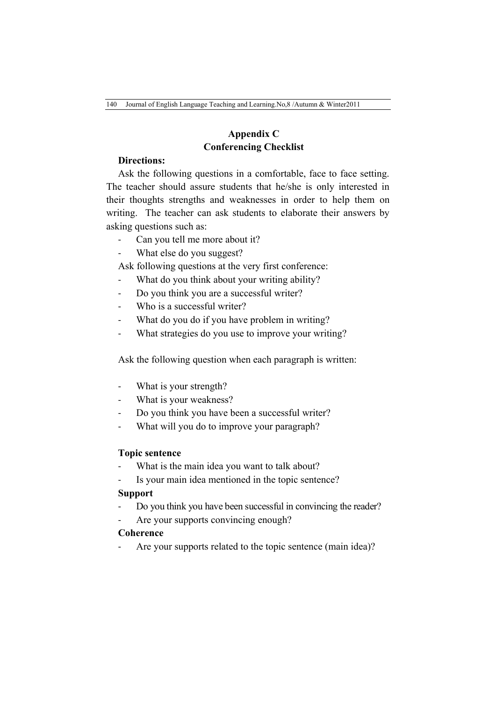## **Appendix C Conferencing Checklist**

## **Directions:**

Ask the following questions in a comfortable, face to face setting. The teacher should assure students that he/she is only interested in their thoughts strengths and weaknesses in order to help them on writing.The teacher can ask students to elaborate their answers by asking questions such as:

- Can you tell me more about it?
- What else do you suggest?

Ask following questions at the very first conference:

- What do you think about your writing ability?
- Do you think you are a successful writer?
- Who is a successful writer?
- What do you do if you have problem in writing?
- What strategies do you use to improve your writing?

Ask the following question when each paragraph is written:

- What is your strength?
- What is your weakness?
- Do you think you have been a successful writer?
- What will you do to improve your paragraph?

#### **Topic sentence**

- What is the main idea you want to talk about?
- Is your main idea mentioned in the topic sentence?

#### **Support**

- Do you think you have been successful in convincing the reader?
- Are your supports convincing enough?

#### **Coherence**

Are your supports related to the topic sentence (main idea)?